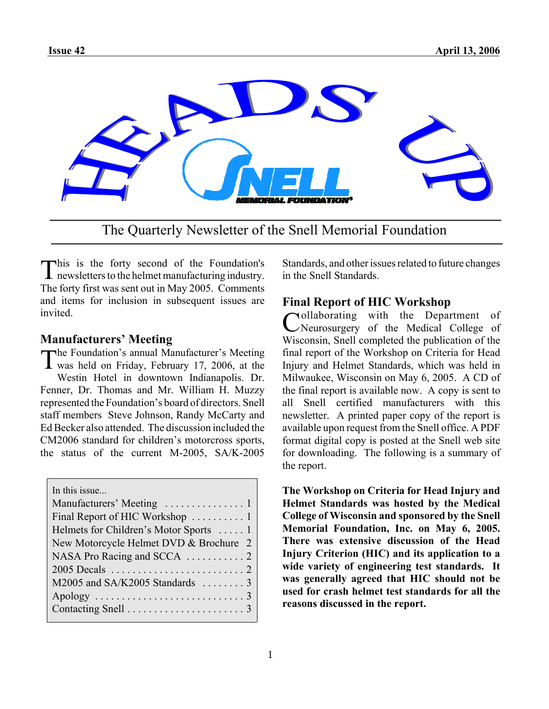

The Quarterly Newsletter of the Snell Memorial Foundation

This is the forty second of the Foundation's newsletters to the helmet manufacturing industry. The forty first was sent out in May 2005. Comments and items for inclusion in subsequent issues are invited.

### **Manufacturers' Meeting**

The Foundation's annual Manufacturer's Meeting was held on Friday, February 17, 2006, at the Westin Hotel in downtown Indianapolis. Dr. Fenner, Dr. Thomas and Mr. William H. Muzzy represented the Foundation's board of directors. Snell staff members Steve Johnson, Randy McCarty and Ed Becker also attended. The discussion included the CM2006 standard for children's motorcross sports, the status of the current M-2005, SA/K-2005

In this issue...

| Final Report of HIC Workshop  1        |
|----------------------------------------|
| Helmets for Children's Motor Sports  1 |
| New Motorcycle Helmet DVD & Brochure 2 |
|                                        |
|                                        |
| M2005 and SA/K2005 Standards  3        |
|                                        |
|                                        |
|                                        |

Standards, and other issues related to future changes in the Snell Standards.

# **Final Report of HIC Workshop**

Collaborating with the Department of Neurosurgery of the Medical College of Wisconsin, Snell completed the publication of the final report of the Workshop on Criteria for Head Injury and Helmet Standards, which was held in Milwaukee, Wisconsin on May 6, 2005. A CD of the final report is available now. A copy is sent to all Snell certified manufacturers with this newsletter. A printed paper copy of the report is available upon request from the Snell office. A PDF format digital copy is posted at the Snell web site for downloading. The following is a summary of the report.

**The Workshop on Criteria for Head Injury and Helmet Standards was hosted by the Medical College of Wisconsin and sponsored by the Snell Memorial Foundation, Inc. on May 6, 2005. There was extensive discussion of the Head Injury Criterion (HIC) and its application to a wide variety of engineering test standards. It was generally agreed that HIC should not be used for crash helmet test standards for all the reasons discussed in the report.**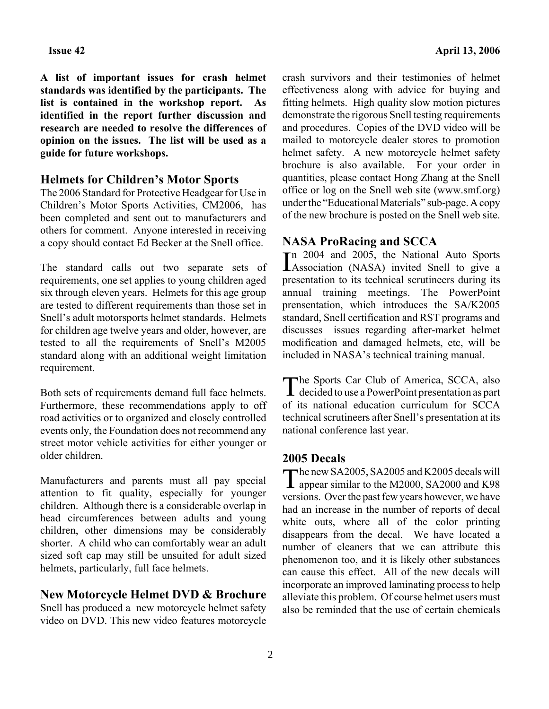**A list of important issues for crash helmet standards was identified by the participants. The list is contained in the workshop report. As identified in the report further discussion and research are needed to resolve the differences of opinion on the issues. The list will be used as a guide for future workshops.**

#### **Helmets for Children's Motor Sports**

The 2006 Standard for Protective Headgear for Use in Children's Motor Sports Activities, CM2006, has been completed and sent out to manufacturers and others for comment. Anyone interested in receiving a copy should contact Ed Becker at the Snell office.

The standard calls out two separate sets of requirements, one set applies to young children aged six through eleven years. Helmets for this age group are tested to different requirements than those set in Snell's adult motorsports helmet standards. Helmets for children age twelve years and older, however, are tested to all the requirements of Snell's M2005 standard along with an additional weight limitation requirement.

Both sets of requirements demand full face helmets. Furthermore, these recommendations apply to off road activities or to organized and closely controlled events only, the Foundation does not recommend any street motor vehicle activities for either younger or older children.

Manufacturers and parents must all pay special attention to fit quality, especially for younger children. Although there is a considerable overlap in head circumferences between adults and young children, other dimensions may be considerably shorter. A child who can comfortably wear an adult sized soft cap may still be unsuited for adult sized helmets, particularly, full face helmets.

#### **New Motorcycle Helmet DVD & Brochure**

Snell has produced a new motorcycle helmet safety video on DVD. This new video features motorcycle crash survivors and their testimonies of helmet effectiveness along with advice for buying and fitting helmets. High quality slow motion pictures demonstrate the rigorous Snell testing requirements and procedures. Copies of the DVD video will be mailed to motorcycle dealer stores to promotion helmet safety. A new motorcycle helmet safety brochure is also available. For your order in quantities, please contact Hong Zhang at the Snell office or log on the Snell web site (www.smf.org) under the "Educational Materials" sub-page. A copy of the new brochure is posted on the Snell web site.

### **NASA ProRacing and SCCA**

In 2004 and 2005, the National Auto Sports<br>Association (NASA) invited Snell to give a n 2004 and 2005, the National Auto Sports presentation to its technical scrutineers during its annual training meetings. The PowerPoint prensentation, which introduces the SA/K2005 standard, Snell certification and RST programs and discusses issues regarding after-market helmet modification and damaged helmets, etc, will be included in NASA's technical training manual.

The Sports Car Club of America, SCCA, also decided to use a PowerPoint presentation as part of its national education curriculum for SCCA technical scrutineers after Snell's presentation at its national conference last year.

### **2005 Decals**

The new SA2005, SA2005 and K2005 decals will appear similar to the M2000, SA2000 and K98 versions. Over the past few years however, we have had an increase in the number of reports of decal white outs, where all of the color printing disappears from the decal. We have located a number of cleaners that we can attribute this phenomenon too, and it is likely other substances can cause this effect. All of the new decals will incorporate an improved laminating process to help alleviate this problem. Of course helmet users must also be reminded that the use of certain chemicals